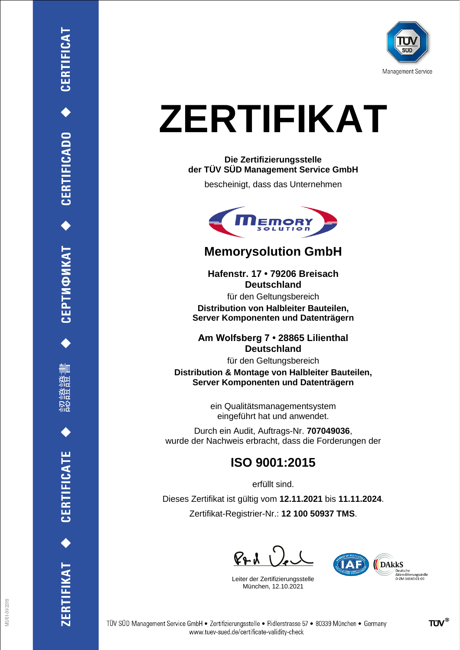

## **ZERTIFIKAT**

#### **Die Zertifizierungsstelle der TÜV SÜD Management Service GmbH**

bescheinigt, dass das Unternehmen



### **Memorysolution GmbH**

**Hafenstr. 17 • 79206 Breisach Deutschland** für den Geltungsbereich **Distribution von Halbleiter Bauteilen, Server Komponenten und Datenträgern**

**Am Wolfsberg 7 • 28865 Lilienthal Deutschland**

für den Geltungsbereich **Distribution & Montage von Halbleiter Bauteilen, Server Komponenten und Datenträgern**

> ein Qualitätsmanagementsystem eingeführt hat und anwendet.

Durch ein Audit, Auftrags-Nr. **707049036**, wurde der Nachweis erbracht, dass die Forderungen der

## **ISO 9001:2015**

erfüllt sind.

Dieses Zertifikat ist gültig vom **12.11.2021** bis **11.11.2024**. Zertifikat-Registrier-Nr.: **12 100 50937 TMS**.

RL 2

Leiter der Zertifizierungsstelle München, 12.10.2021



ERTIFIKAT<sup>+</sup>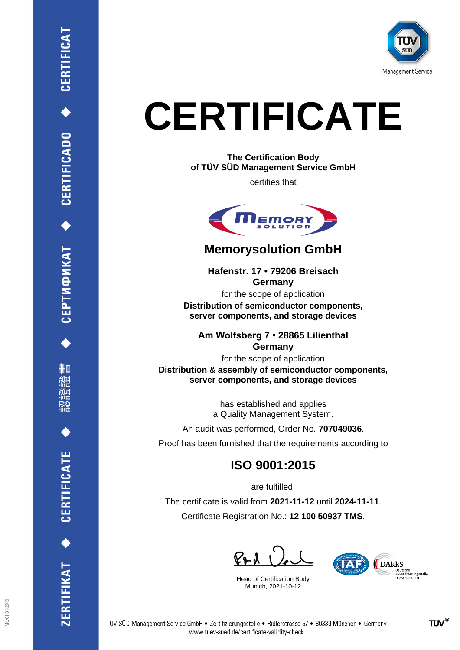

## **CERTIFICATE**

**The Certification Body of TÜV SÜD Management Service GmbH**

certifies that



### **Memorysolution GmbH**

**Hafenstr. 17 • 79206 Breisach Germany**

for the scope of application **Distribution of semiconductor components, server components, and storage devices**

**Am Wolfsberg 7 • 28865 Lilienthal Germany**

for the scope of application **Distribution & assembly of semiconductor components, server components, and storage devices**

> has established and applies a Quality Management System.

An audit was performed, Order No. **707049036**.

Proof has been furnished that the requirements according to

## **ISO 9001:2015**

are fulfilled. The certificate is valid from **2021-11-12** until **2024-11-11**. Certificate Registration No.: **12 100 50937 TMS**.

R**e.** 1

Head of Certification Body Munich, 2021-10-12



RTIFIKAT <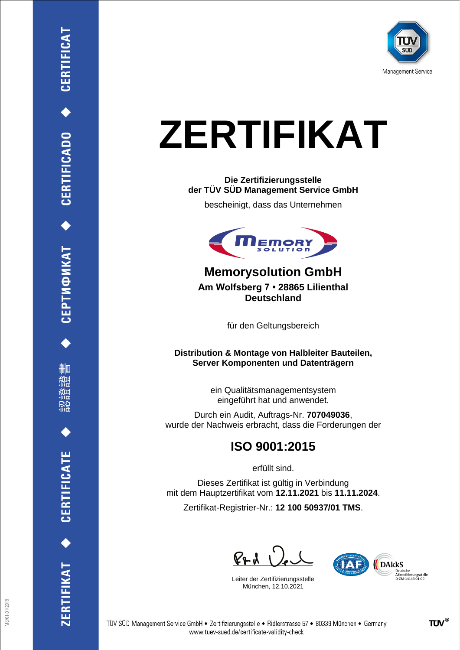

## **ZERTIFIKAT**

#### **Die Zertifizierungsstelle der TÜV SÜD Management Service GmbH**

bescheinigt, dass das Unternehmen



**Memorysolution GmbH Am Wolfsberg 7 • 28865 Lilienthal Deutschland**

für den Geltungsbereich

**Distribution & Montage von Halbleiter Bauteilen, Server Komponenten und Datenträgern**

> ein Qualitätsmanagementsystem eingeführt hat und anwendet.

Durch ein Audit, Auftrags-Nr. **707049036**, wurde der Nachweis erbracht, dass die Forderungen der

## **ISO 9001:2015**

erfüllt sind.

Dieses Zertifikat ist gültig in Verbindung mit dem Hauptzertifikat vom **12.11.2021** bis **11.11.2024**.

Zertifikat-Registrier-Nr.: **12 100 50937/01 TMS**.

 $P+1$ 

Leiter der Zertifizierungsstelle München, 12.10.2021

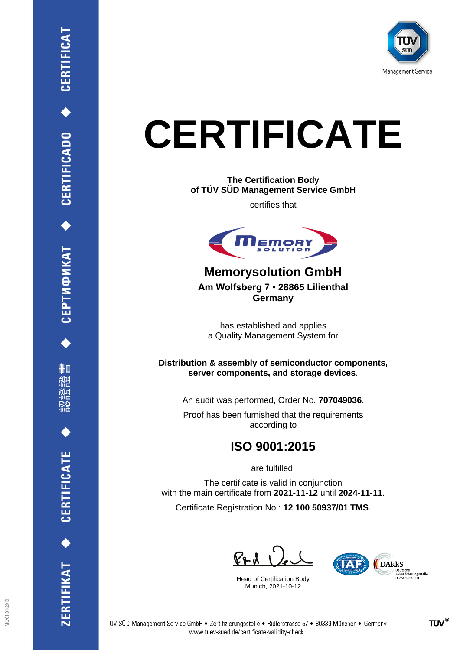

## **CERTIFICATE**

**The Certification Body of TÜV SÜD Management Service GmbH**

certifies that



**Memorysolution GmbH Am Wolfsberg 7 • 28865 Lilienthal Germany**

has established and applies a Quality Management System for

**Distribution & assembly of semiconductor components, server components, and storage devices**.

An audit was performed, Order No. **707049036**.

Proof has been furnished that the requirements according to

## **ISO 9001:2015**

are fulfilled.

The certificate is valid in conjunction with the main certificate from **2021-11-12** until **2024-11-11**. Certificate Registration No.: **12 100 50937/01 TMS**.

 $P + U$ 

Head of Certification Body Munich, 2021-10-12



ZERTIFIKAT<sup>+</sup>